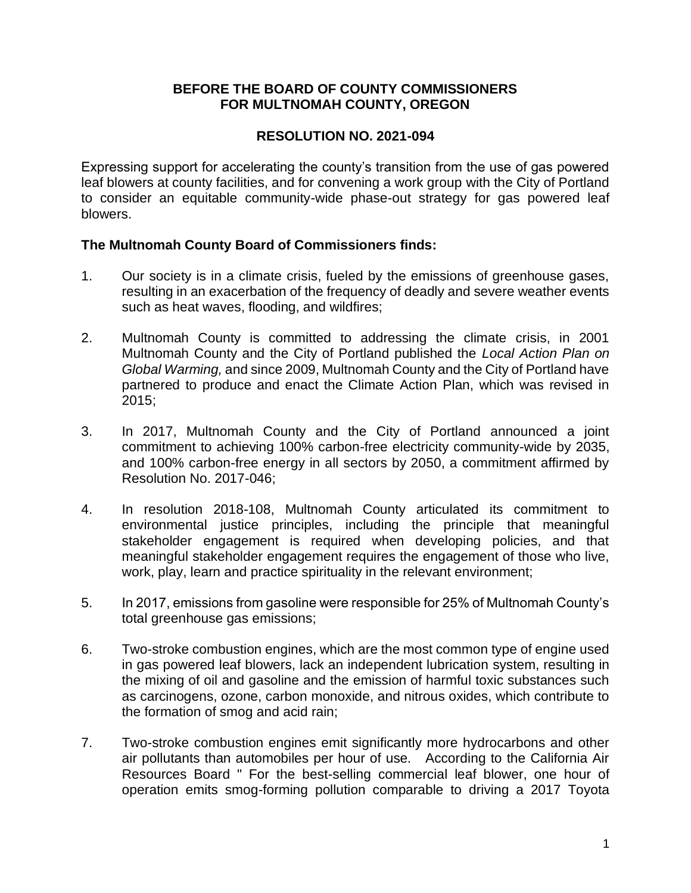#### **BEFORE THE BOARD OF COUNTY COMMISSIONERS FOR MULTNOMAH COUNTY, OREGON**

## **RESOLUTION NO. 2021-094**

Expressing support for accelerating the county's transition from the use of gas powered leaf blowers at county facilities, and for convening a work group with the City of Portland to consider an equitable community-wide phase-out strategy for gas powered leaf blowers.

### **The Multnomah County Board of Commissioners finds:**

- 1. Our society is in a climate crisis, fueled by the emissions of greenhouse gases, resulting in an exacerbation of the frequency of deadly and severe weather events such as heat waves, flooding, and wildfires;
- 2. Multnomah County is committed to addressing the climate crisis, in 2001 Multnomah County and the City of Portland published the *Local Action Plan on Global Warming,* and since 2009, Multnomah County and the City of Portland have partnered to produce and enact the Climate Action Plan, which was revised in 2015;
- 3. In 2017, Multnomah County and the City of Portland announced a joint commitment to achieving 100% carbon-free electricity community-wide by 2035, and 100% carbon-free energy in all sectors by 2050, a commitment affirmed by Resolution No. 2017-046;
- 4. In resolution 2018-108, Multnomah County articulated its commitment to environmental justice principles, including the principle that meaningful stakeholder engagement is required when developing policies, and that meaningful stakeholder engagement requires the engagement of those who live, work, play, learn and practice spirituality in the relevant environment;
- 5. In 2017, emissions from gasoline were responsible for 25% of Multnomah County's total greenhouse gas emissions;
- 6. Two-stroke combustion engines, which are the most common type of engine used in gas powered leaf blowers, lack an independent lubrication system, resulting in the mixing of oil and gasoline and the emission of harmful toxic substances such as carcinogens, ozone, carbon monoxide, and nitrous oxides, which contribute to the formation of smog and acid rain;
- 7. Two-stroke combustion engines emit significantly more hydrocarbons and other air pollutants than automobiles per hour of use. According to the California Air Resources Board " For the best-selling commercial leaf blower, one hour of operation emits smog-forming pollution comparable to driving a 2017 Toyota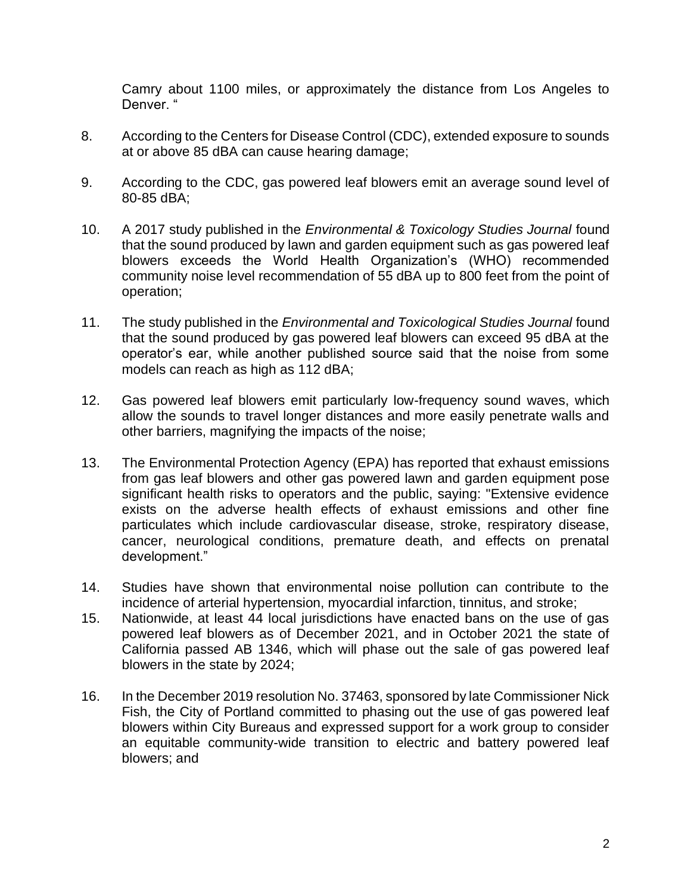Camry about 1100 miles, or approximately the distance from Los Angeles to Denver. "

- 8. According to the Centers for Disease Control (CDC), extended exposure to sounds at or above 85 dBA can cause hearing damage;
- 9. According to the CDC, gas powered leaf blowers emit an average sound level of 80-85 dBA;
- 10. A 2017 study published in the *Environmental & Toxicology Studies Journal* found that the sound produced by lawn and garden equipment such as gas powered leaf blowers exceeds the World Health Organization's (WHO) recommended community noise level recommendation of 55 dBA up to 800 feet from the point of operation;
- 11. The study published in the *Environmental and Toxicological Studies Journal* found that the sound produced by gas powered leaf blowers can exceed 95 dBA at the operator's ear, while another published source said that the noise from some models can reach as high as 112 dBA;
- 12. Gas powered leaf blowers emit particularly low-frequency sound waves, which allow the sounds to travel longer distances and more easily penetrate walls and other barriers, magnifying the impacts of the noise;
- 13. The Environmental Protection Agency (EPA) has reported that exhaust emissions from gas leaf blowers and other gas powered lawn and garden equipment pose significant health risks to operators and the public, saying: "Extensive evidence exists on the adverse health effects of exhaust emissions and other fine particulates which include cardiovascular disease, stroke, respiratory disease, cancer, neurological conditions, premature death, and effects on prenatal development."
- 14. Studies have shown that environmental noise pollution can contribute to the incidence of arterial hypertension, myocardial infarction, tinnitus, and stroke;
- 15. Nationwide, at least 44 local jurisdictions have enacted bans on the use of gas powered leaf blowers as of December 2021, and in October 2021 the state of California passed AB 1346, which will phase out the sale of gas powered leaf blowers in the state by 2024;
- 16. In the December 2019 resolution No. 37463, sponsored by late Commissioner Nick Fish, the City of Portland committed to phasing out the use of gas powered leaf blowers within City Bureaus and expressed support for a work group to consider an equitable community-wide transition to electric and battery powered leaf blowers; and